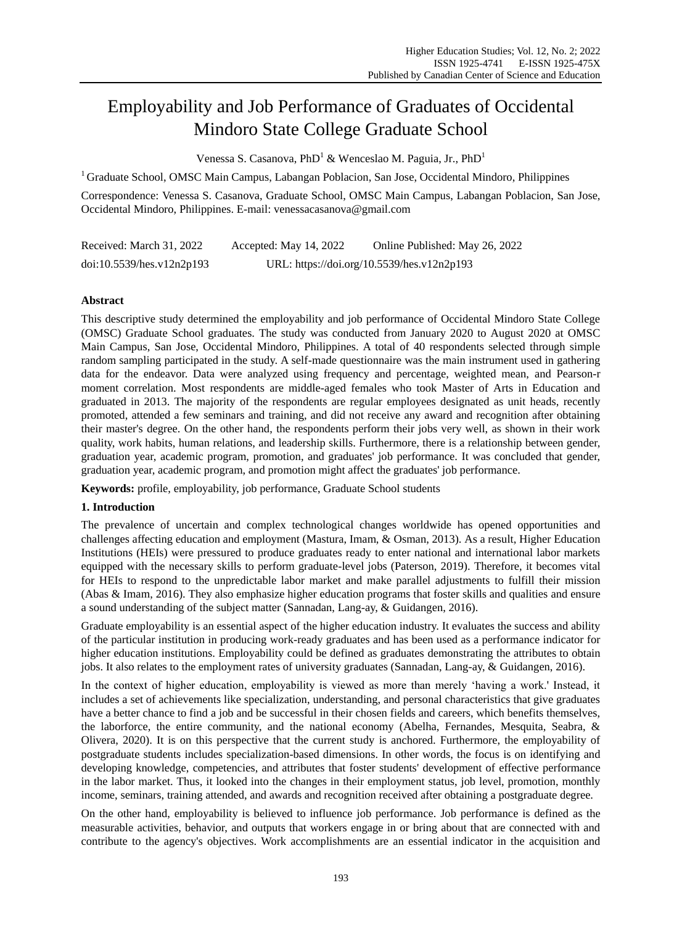# Employability and Job Performance of Graduates of Occidental Mindoro State College Graduate School

Venessa S. Casanova, PhD<sup>1</sup> & Wenceslao M. Paguia, Jr., PhD<sup>1</sup>

<sup>1</sup> Graduate School, OMSC Main Campus, Labangan Poblacion, San Jose, Occidental Mindoro, Philippines

Correspondence: Venessa S. Casanova, Graduate School, OMSC Main Campus, Labangan Poblacion, San Jose, Occidental Mindoro, Philippines. E-mail: venessacasanova@gmail.com

| Received: March 31, 2022  | Accepted: May 14, 2022 | Online Published: May 26, 2022             |
|---------------------------|------------------------|--------------------------------------------|
| doi:10.5539/hes.v12n2p193 |                        | URL: https://doi.org/10.5539/hes.v12n2p193 |

### **Abstract**

This descriptive study determined the employability and job performance of Occidental Mindoro State College (OMSC) Graduate School graduates. The study was conducted from January 2020 to August 2020 at OMSC Main Campus, San Jose, Occidental Mindoro, Philippines. A total of 40 respondents selected through simple random sampling participated in the study. A self-made questionnaire was the main instrument used in gathering data for the endeavor. Data were analyzed using frequency and percentage, weighted mean, and Pearson-r moment correlation. Most respondents are middle-aged females who took Master of Arts in Education and graduated in 2013. The majority of the respondents are regular employees designated as unit heads, recently promoted, attended a few seminars and training, and did not receive any award and recognition after obtaining their master's degree. On the other hand, the respondents perform their jobs very well, as shown in their work quality, work habits, human relations, and leadership skills. Furthermore, there is a relationship between gender, graduation year, academic program, promotion, and graduates' job performance. It was concluded that gender, graduation year, academic program, and promotion might affect the graduates' job performance.

**Keywords:** profile, employability, job performance, Graduate School students

## **1. Introduction**

The prevalence of uncertain and complex technological changes worldwide has opened opportunities and challenges affecting education and employment (Mastura, Imam, & Osman, 2013). As a result, Higher Education Institutions (HEIs) were pressured to produce graduates ready to enter national and international labor markets equipped with the necessary skills to perform graduate-level jobs (Paterson, 2019). Therefore, it becomes vital for HEIs to respond to the unpredictable labor market and make parallel adjustments to fulfill their mission (Abas & Imam, 2016). They also emphasize higher education programs that foster skills and qualities and ensure a sound understanding of the subject matter (Sannadan, Lang-ay, & Guidangen, 2016).

Graduate employability is an essential aspect of the higher education industry. It evaluates the success and ability of the particular institution in producing work-ready graduates and has been used as a performance indicator for higher education institutions. Employability could be defined as graduates demonstrating the attributes to obtain jobs. It also relates to the employment rates of university graduates (Sannadan, Lang-ay, & Guidangen, 2016).

In the context of higher education, employability is viewed as more than merely 'having a work.' Instead, it includes a set of achievements like specialization, understanding, and personal characteristics that give graduates have a better chance to find a job and be successful in their chosen fields and careers, which benefits themselves, the laborforce, the entire community, and the national economy (Abelha, Fernandes, Mesquita, Seabra, & Olivera, 2020). It is on this perspective that the current study is anchored. Furthermore, the employability of postgraduate students includes specialization-based dimensions. In other words, the focus is on identifying and developing knowledge, competencies, and attributes that foster students' development of effective performance in the labor market. Thus, it looked into the changes in their employment status, job level, promotion, monthly income, seminars, training attended, and awards and recognition received after obtaining a postgraduate degree.

On the other hand, employability is believed to influence job performance. Job performance is defined as the measurable activities, behavior, and outputs that workers engage in or bring about that are connected with and contribute to the agency's objectives. Work accomplishments are an essential indicator in the acquisition and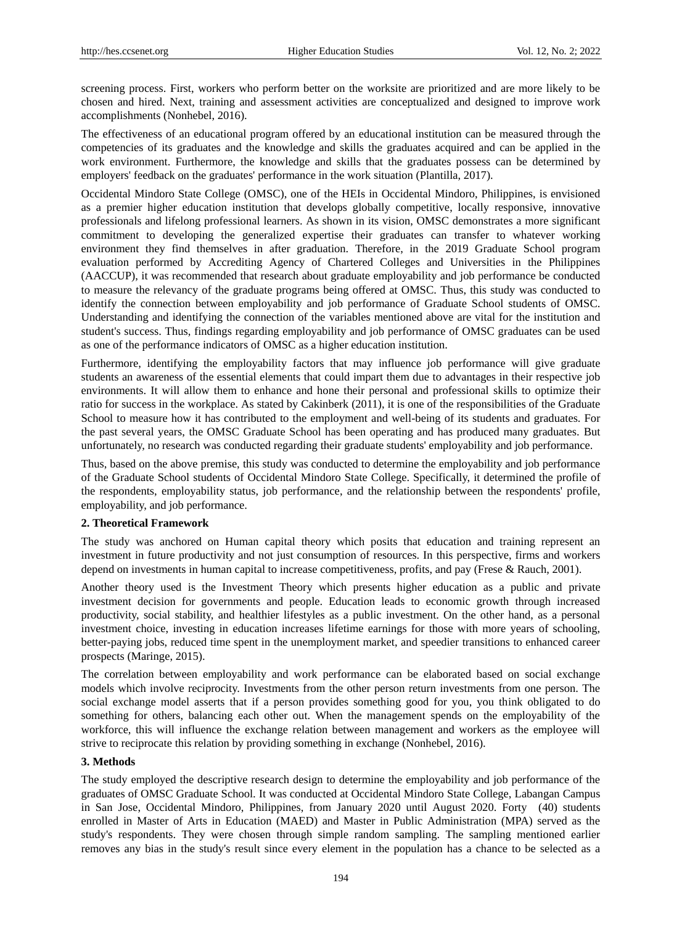screening process. First, workers who perform better on the worksite are prioritized and are more likely to be chosen and hired. Next, training and assessment activities are conceptualized and designed to improve work accomplishments (Nonhebel, 2016).

The effectiveness of an educational program offered by an educational institution can be measured through the competencies of its graduates and the knowledge and skills the graduates acquired and can be applied in the work environment. Furthermore, the knowledge and skills that the graduates possess can be determined by employers' feedback on the graduates' performance in the work situation (Plantilla, 2017).

Occidental Mindoro State College (OMSC), one of the HEIs in Occidental Mindoro, Philippines, is envisioned as a premier higher education institution that develops globally competitive, locally responsive, innovative professionals and lifelong professional learners. As shown in its vision, OMSC demonstrates a more significant commitment to developing the generalized expertise their graduates can transfer to whatever working environment they find themselves in after graduation. Therefore, in the 2019 Graduate School program evaluation performed by Accrediting Agency of Chartered Colleges and Universities in the Philippines (AACCUP), it was recommended that research about graduate employability and job performance be conducted to measure the relevancy of the graduate programs being offered at OMSC. Thus, this study was conducted to identify the connection between employability and job performance of Graduate School students of OMSC. Understanding and identifying the connection of the variables mentioned above are vital for the institution and student's success. Thus, findings regarding employability and job performance of OMSC graduates can be used as one of the performance indicators of OMSC as a higher education institution.

Furthermore, identifying the employability factors that may influence job performance will give graduate students an awareness of the essential elements that could impart them due to advantages in their respective job environments. It will allow them to enhance and hone their personal and professional skills to optimize their ratio for success in the workplace. As stated by Cakinberk (2011), it is one of the responsibilities of the Graduate School to measure how it has contributed to the employment and well-being of its students and graduates. For the past several years, the OMSC Graduate School has been operating and has produced many graduates. But unfortunately, no research was conducted regarding their graduate students' employability and job performance.

Thus, based on the above premise, this study was conducted to determine the employability and job performance of the Graduate School students of Occidental Mindoro State College. Specifically, it determined the profile of the respondents, employability status, job performance, and the relationship between the respondents' profile, employability, and job performance.

### **2. Theoretical Framework**

The study was anchored on Human capital theory which posits that education and training represent an investment in future productivity and not just consumption of resources. In this perspective, firms and workers depend on investments in human capital to increase competitiveness, profits, and pay (Frese & Rauch, 2001).

Another theory used is the Investment Theory which presents higher education as a public and private investment decision for governments and people. Education leads to economic growth through increased productivity, social stability, and healthier lifestyles as a public investment. On the other hand, as a personal investment choice, investing in education increases lifetime earnings for those with more years of schooling, better-paying jobs, reduced time spent in the unemployment market, and speedier transitions to enhanced career prospects (Maringe, 2015).

The correlation between employability and work performance can be elaborated based on social exchange models which involve reciprocity. Investments from the other person return investments from one person. The social exchange model asserts that if a person provides something good for you, you think obligated to do something for others, balancing each other out. When the management spends on the employability of the workforce, this will influence the exchange relation between management and workers as the employee will strive to reciprocate this relation by providing something in exchange (Nonhebel, 2016).

### **3. Methods**

The study employed the descriptive research design to determine the employability and job performance of the graduates of OMSC Graduate School. It was conducted at Occidental Mindoro State College, Labangan Campus in San Jose, Occidental Mindoro, Philippines, from January 2020 until August 2020. Forty (40) students enrolled in Master of Arts in Education (MAED) and Master in Public Administration (MPA) served as the study's respondents. They were chosen through simple random sampling. The sampling mentioned earlier removes any bias in the study's result since every element in the population has a chance to be selected as a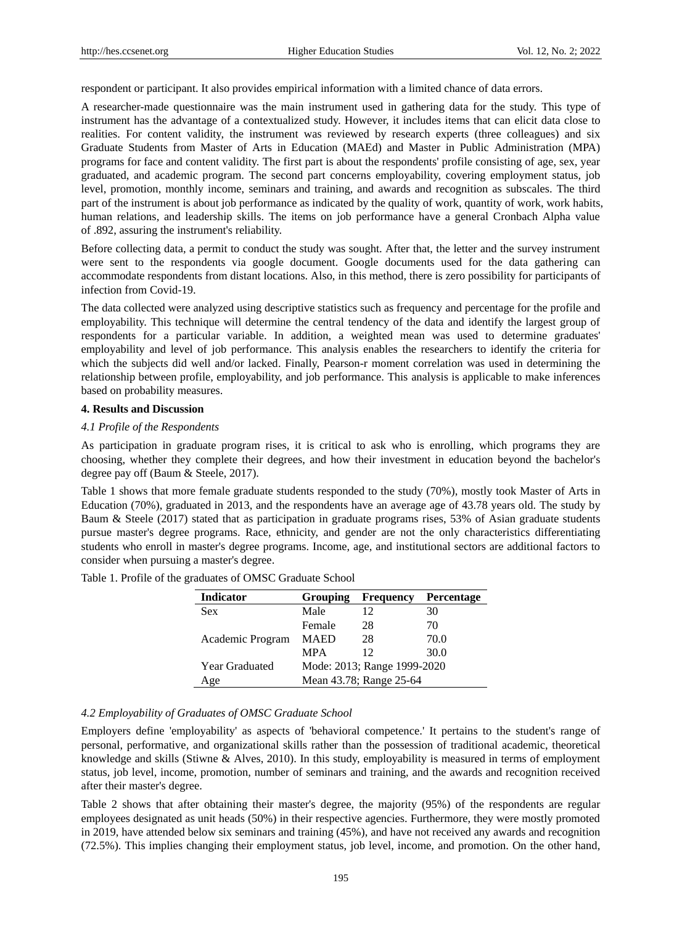respondent or participant. It also provides empirical information with a limited chance of data errors.

A researcher-made questionnaire was the main instrument used in gathering data for the study. This type of instrument has the advantage of a contextualized study. However, it includes items that can elicit data close to realities. For content validity, the instrument was reviewed by research experts (three colleagues) and six Graduate Students from Master of Arts in Education (MAEd) and Master in Public Administration (MPA) programs for face and content validity. The first part is about the respondents' profile consisting of age, sex, year graduated, and academic program. The second part concerns employability, covering employment status, job level, promotion, monthly income, seminars and training, and awards and recognition as subscales. The third part of the instrument is about job performance as indicated by the quality of work, quantity of work, work habits, human relations, and leadership skills. The items on job performance have a general Cronbach Alpha value of .892, assuring the instrument's reliability.

Before collecting data, a permit to conduct the study was sought. After that, the letter and the survey instrument were sent to the respondents via google document. Google documents used for the data gathering can accommodate respondents from distant locations. Also, in this method, there is zero possibility for participants of infection from Covid-19.

The data collected were analyzed using descriptive statistics such as frequency and percentage for the profile and employability. This technique will determine the central tendency of the data and identify the largest group of respondents for a particular variable. In addition, a weighted mean was used to determine graduates' employability and level of job performance. This analysis enables the researchers to identify the criteria for which the subjects did well and/or lacked. Finally, Pearson-r moment correlation was used in determining the relationship between profile, employability, and job performance. This analysis is applicable to make inferences based on probability measures.

### **4. Results and Discussion**

#### *4.1 Profile of the Respondents*

As participation in graduate program rises, it is critical to ask who is enrolling, which programs they are choosing, whether they complete their degrees, and how their investment in education beyond the bachelor's degree pay off (Baum & Steele, 2017).

Table 1 shows that more female graduate students responded to the study (70%), mostly took Master of Arts in Education (70%), graduated in 2013, and the respondents have an average age of 43.78 years old. The study by Baum & Steele (2017) stated that as participation in graduate programs rises, 53% of Asian graduate students pursue master's degree programs. Race, ethnicity, and gender are not the only characteristics differentiating students who enroll in master's degree programs. Income, age, and institutional sectors are additional factors to consider when pursuing a master's degree.

| <b>Indicator</b> | <b>Grouping</b>             | <b>Frequency</b> | Percentage |
|------------------|-----------------------------|------------------|------------|
| <b>Sex</b>       | Male                        | 12               | 30         |
|                  | Female                      | 28               | 70         |
| Academic Program | <b>MAED</b>                 | 28               | 70.0       |
|                  | <b>MPA</b>                  | 12               | 30.0       |
| Year Graduated   | Mode: 2013; Range 1999-2020 |                  |            |
| Age              | Mean 43.78; Range 25-64     |                  |            |

Table 1. Profile of the graduates of OMSC Graduate School

### *4.2 Employability of Graduates of OMSC Graduate School*

Employers define 'employability' as aspects of 'behavioral competence.' It pertains to the student's range of personal, performative, and organizational skills rather than the possession of traditional academic, theoretical knowledge and skills (Stiwne & Alves, 2010). In this study, employability is measured in terms of employment status, job level, income, promotion, number of seminars and training, and the awards and recognition received after their master's degree.

Table 2 shows that after obtaining their master's degree, the majority (95%) of the respondents are regular employees designated as unit heads (50%) in their respective agencies. Furthermore, they were mostly promoted in 2019, have attended below six seminars and training (45%), and have not received any awards and recognition (72.5%). This implies changing their employment status, job level, income, and promotion. On the other hand,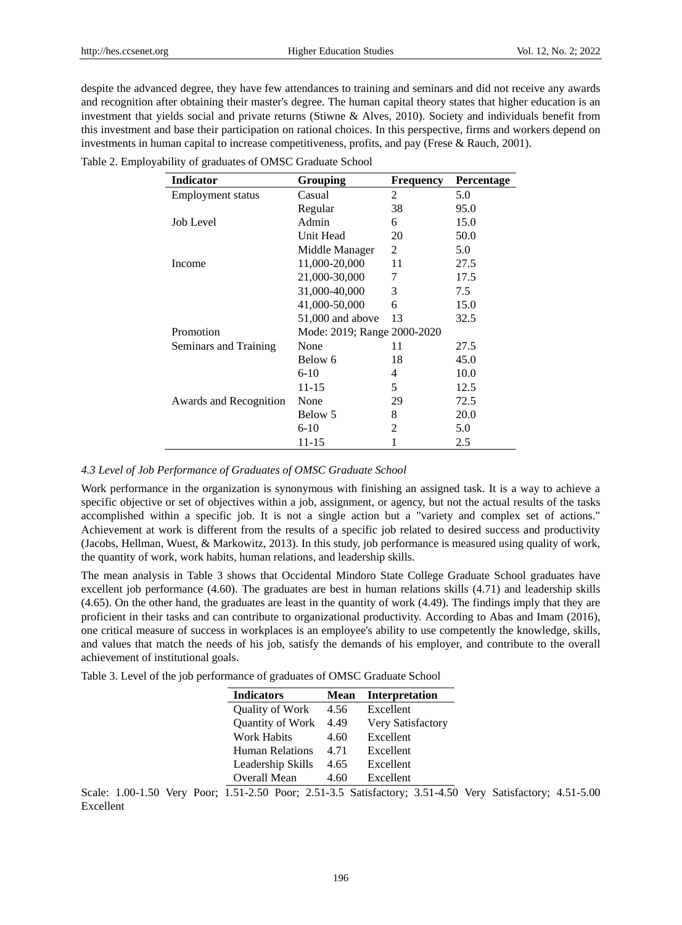despite the advanced degree, they have few attendances to training and seminars and did not receive any awards and recognition after obtaining their master's degree. The human capital theory states that higher education is an investment that yields social and private returns (Stiwne & Alves, 2010). Society and individuals benefit from this investment and base their participation on rational choices. In this perspective, firms and workers depend on investments in human capital to increase competitiveness, profits, and pay (Frese & Rauch, 2001).

| <b>Indicator</b>       | Grouping                    | <b>Frequency</b> | Percentage |
|------------------------|-----------------------------|------------------|------------|
| Employment status      | Casual                      | 2                | 5.0        |
|                        | Regular                     | 38               | 95.0       |
| Job Level              | Admin                       | 6                | 15.0       |
|                        | Unit Head                   | 20               | 50.0       |
|                        | Middle Manager              | 2                | 5.0        |
| Income                 | 11,000-20,000               | 11               | 27.5       |
|                        | 21,000-30,000               | 7                | 17.5       |
|                        | 31,000-40,000               | 3                | 7.5        |
|                        | 41,000-50,000               | 6                | 15.0       |
|                        | 51,000 and above            | 13               | 32.5       |
| Promotion              | Mode: 2019; Range 2000-2020 |                  |            |
| Seminars and Training  | None                        | 11               | 27.5       |
|                        | Below 6                     | 18               | 45.0       |
|                        | $6-10$                      | 4                | 10.0       |
|                        | 11-15                       | 5                | 12.5       |
| Awards and Recognition | None                        | 29               | 72.5       |
|                        | Below 5                     | 8                | 20.0       |
|                        | $6-10$                      | 2                | 5.0        |
|                        | 11-15                       |                  | 2.5        |

Table 2. Employability of graduates of OMSC Graduate School

### *4.3 Level of Job Performance of Graduates of OMSC Graduate School*

Work performance in the organization is synonymous with finishing an assigned task. It is a way to achieve a specific objective or set of objectives within a job, assignment, or agency, but not the actual results of the tasks accomplished within a specific job. It is not a single action but a "variety and complex set of actions." Achievement at work is different from the results of a specific job related to desired success and productivity (Jacobs, Hellman, Wuest, & Markowitz, 2013). In this study, job performance is measured using quality of work, the quantity of work, work habits, human relations, and leadership skills.

The mean analysis in Table 3 shows that Occidental Mindoro State College Graduate School graduates have excellent job performance (4.60). The graduates are best in human relations skills (4.71) and leadership skills (4.65). On the other hand, the graduates are least in the quantity of work (4.49). The findings imply that they are proficient in their tasks and can contribute to organizational productivity. According to Abas and Imam (2016), one critical measure of success in workplaces is an employee's ability to use competently the knowledge, skills, and values that match the needs of his job, satisfy the demands of his employer, and contribute to the overall achievement of institutional goals.

Table 3. Level of the job performance of graduates of OMSC Graduate School

| <b>Indicators</b>  | Mean | <b>Interpretation</b> |
|--------------------|------|-----------------------|
| Quality of Work    | 4.56 | Excellent             |
| Quantity of Work   | 4.49 | Very Satisfactory     |
| <b>Work Habits</b> | 4.60 | Excellent             |
| Human Relations    | 4.71 | Excellent             |
| Leadership Skills  | 4.65 | Excellent             |
| Overall Mean       | 4.60 | Excellent             |

Scale: 1.00-1.50 Very Poor; 1.51-2.50 Poor; 2.51-3.5 Satisfactory; 3.51-4.50 Very Satisfactory; 4.51-5.00 Excellent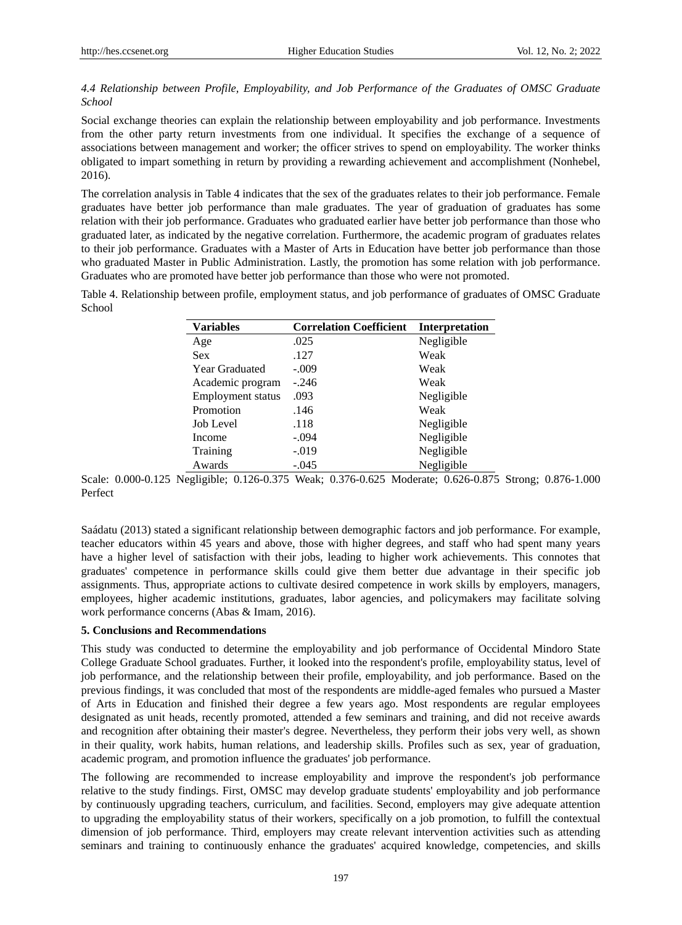## *4.4 Relationship between Profile, Employability, and Job Performance of the Graduates of OMSC Graduate School*

Social exchange theories can explain the relationship between employability and job performance. Investments from the other party return investments from one individual. It specifies the exchange of a sequence of associations between management and worker; the officer strives to spend on employability. The worker thinks obligated to impart something in return by providing a rewarding achievement and accomplishment (Nonhebel, 2016).

The correlation analysis in Table 4 indicates that the sex of the graduates relates to their job performance. Female graduates have better job performance than male graduates. The year of graduation of graduates has some relation with their job performance. Graduates who graduated earlier have better job performance than those who graduated later, as indicated by the negative correlation. Furthermore, the academic program of graduates relates to their job performance. Graduates with a Master of Arts in Education have better job performance than those who graduated Master in Public Administration. Lastly, the promotion has some relation with job performance. Graduates who are promoted have better job performance than those who were not promoted.

Table 4. Relationship between profile, employment status, and job performance of graduates of OMSC Graduate School

| <b>Variables</b>         | <b>Correlation Coefficient</b> | Interpretation |
|--------------------------|--------------------------------|----------------|
| Age                      | .025                           | Negligible     |
| <b>Sex</b>               | .127                           | Weak           |
| <b>Year Graduated</b>    | $-.009$                        | Weak           |
| Academic program         | $-.246$                        | Weak           |
| <b>Employment</b> status | .093                           | Negligible     |
| Promotion                | .146                           | Weak           |
| Job Level                | .118                           | Negligible     |
| Income                   | $-.094$                        | Negligible     |
| Training                 | $-.019$                        | Negligible     |
| Awards                   | $-.045$                        | Negligible     |

Scale: 0.000-0.125 Negligible; 0.126-0.375 Weak; 0.376-0.625 Moderate; 0.626-0.875 Strong; 0.876-1.000 Perfect

Saádatu (2013) stated a significant relationship between demographic factors and job performance. For example, teacher educators within 45 years and above, those with higher degrees, and staff who had spent many years have a higher level of satisfaction with their jobs, leading to higher work achievements. This connotes that graduates' competence in performance skills could give them better due advantage in their specific job assignments. Thus, appropriate actions to cultivate desired competence in work skills by employers, managers, employees, higher academic institutions, graduates, labor agencies, and policymakers may facilitate solving work performance concerns (Abas & Imam, 2016).

### **5. Conclusions and Recommendations**

This study was conducted to determine the employability and job performance of Occidental Mindoro State College Graduate School graduates. Further, it looked into the respondent's profile, employability status, level of job performance, and the relationship between their profile, employability, and job performance. Based on the previous findings, it was concluded that most of the respondents are middle-aged females who pursued a Master of Arts in Education and finished their degree a few years ago. Most respondents are regular employees designated as unit heads, recently promoted, attended a few seminars and training, and did not receive awards and recognition after obtaining their master's degree. Nevertheless, they perform their jobs very well, as shown in their quality, work habits, human relations, and leadership skills. Profiles such as sex, year of graduation, academic program, and promotion influence the graduates' job performance.

The following are recommended to increase employability and improve the respondent's job performance relative to the study findings. First, OMSC may develop graduate students' employability and job performance by continuously upgrading teachers, curriculum, and facilities. Second, employers may give adequate attention to upgrading the employability status of their workers, specifically on a job promotion, to fulfill the contextual dimension of job performance. Third, employers may create relevant intervention activities such as attending seminars and training to continuously enhance the graduates' acquired knowledge, competencies, and skills